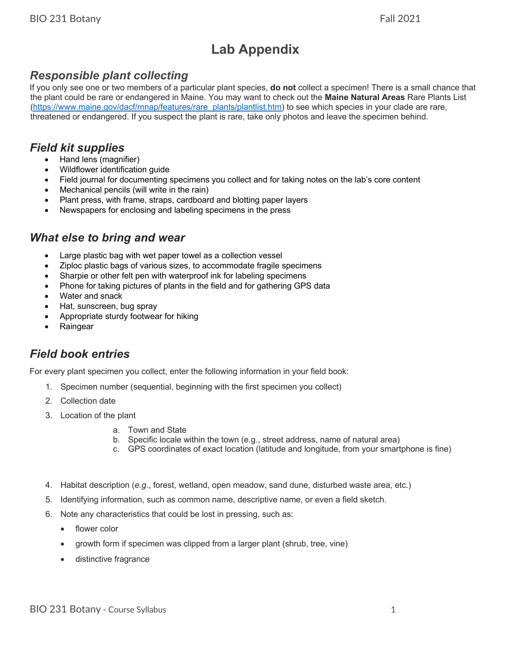# **Lab Appendix**

## *Responsible plant collecting*

If you only see one or two members of a particular plant species, **do not** collect a specimen! There is a small chance that the plant could be rare or endangered in Maine. You may want to check out the **Maine Natural Areas** Rare Plants List (https://www.maine.gov/dacf/mnap/features/rare\_plants/plantlist.htm) to see which species in your clade are rare, threatened or endangered. If you suspect the plant is rare, take only photos and leave the specimen behind.

#### *Field kit supplies*

- Hand lens (magnifier)
- Wildflower identification guide
- Field journal for documenting specimens you collect and for taking notes on the lab's core content
- Mechanical pencils (will write in the rain)
- Plant press, with frame, straps, cardboard and blotting paper layers
- Newspapers for enclosing and labeling specimens in the press

#### *What else to bring and wear*

- Large plastic bag with wet paper towel as a collection vessel
- Ziploc plastic bags of various sizes, to accommodate fragile specimens
- Sharpie or other felt pen with waterproof ink for labeling specimens
- Phone for taking pictures of plants in the field and for gathering GPS data
- Water and snack
- Hat, sunscreen, bug spray
- Appropriate sturdy footwear for hiking
- **Raingear**

#### *Field book entries*

For every plant specimen you collect, enter the following information in your field book:

- 1. Specimen number (sequential, beginning with the first specimen you collect)
- 2. Collection date
- 3. Location of the plant
	- a. Town and State
	- b. Specific locale within the town (e.g., street address, name of natural area)
	- c. GPS coordinates of exact location (latitude and longitude, from your smartphone is fine)
- 4. Habitat description (*e.g*., forest, wetland, open meadow, sand dune, disturbed waste area, etc.)
- 5. Identifying information, such as common name, descriptive name, or even a field sketch.
- 6. Note any characteristics that could be lost in pressing, such as:
	- flower color
	- growth form if specimen was clipped from a larger plant (shrub, tree, vine)
	- distinctive fragrance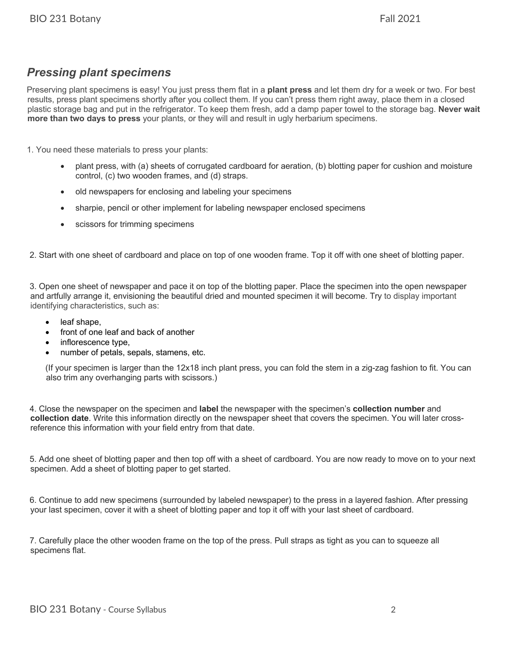## *Pressing plant specimens*

Preserving plant specimens is easy! You just press them flat in a **plant press** and let them dry for a week or two. For best results, press plant specimens shortly after you collect them. If you can't press them right away, place them in a closed plastic storage bag and put in the refrigerator. To keep them fresh, add a damp paper towel to the storage bag. **Never wait more than two days to press** your plants, or they will and result in ugly herbarium specimens.

1. You need these materials to press your plants:

- plant press, with (a) sheets of corrugated cardboard for aeration, (b) blotting paper for cushion and moisture control, (c) two wooden frames, and (d) straps.
- old newspapers for enclosing and labeling your specimens
- sharpie, pencil or other implement for labeling newspaper enclosed specimens
- scissors for trimming specimens

2. Start with one sheet of cardboard and place on top of one wooden frame. Top it off with one sheet of blotting paper.

3. Open one sheet of newspaper and pace it on top of the blotting paper. Place the specimen into the open newspaper and artfully arrange it, envisioning the beautiful dried and mounted specimen it will become. Try to display important identifying characteristics, such as:

- leaf shape,
- front of one leaf and back of another
- inflorescence type,
- number of petals, sepals, stamens, etc.

(If your specimen is larger than the 12x18 inch plant press, you can fold the stem in a zig-zag fashion to fit. You can also trim any overhanging parts with scissors.)

4. Close the newspaper on the specimen and **label** the newspaper with the specimen's **collection number** and **collection date**. Write this information directly on the newspaper sheet that covers the specimen. You will later crossreference this information with your field entry from that date.

5. Add one sheet of blotting paper and then top off with a sheet of cardboard. You are now ready to move on to your next specimen. Add a sheet of blotting paper to get started.

6. Continue to add new specimens (surrounded by labeled newspaper) to the press in a layered fashion. After pressing your last specimen, cover it with a sheet of blotting paper and top it off with your last sheet of cardboard.

7. Carefully place the other wooden frame on the top of the press. Pull straps as tight as you can to squeeze all specimens flat.